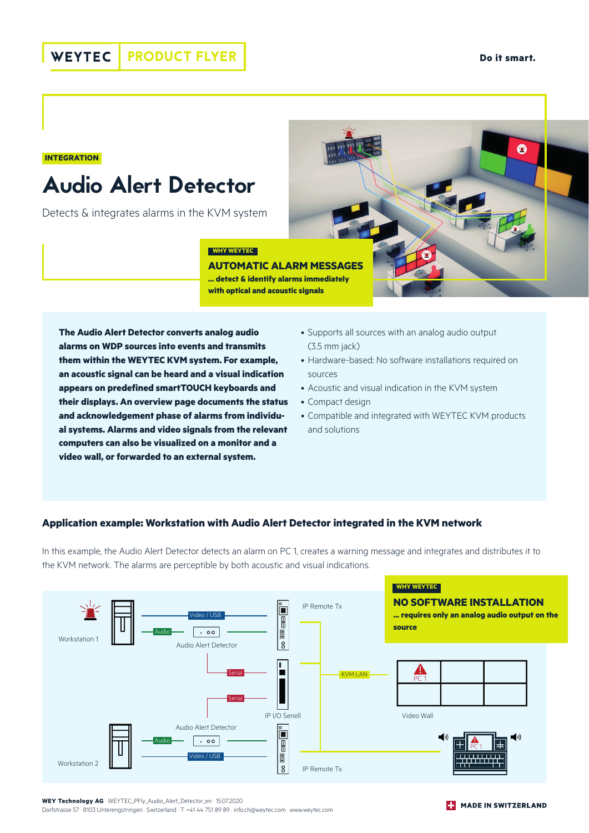A

#### **INTEGRATION**

# Audio Alert Detector

Detects & integrates alarms in the KVM system

#### **WHY WEYTEC**

**AUTOMATIC ALARM MESSAGES ... detect & identify alarms immediately with optical and acoustic signals**

**The Audio Alert Detector converts analog audio alarms on WDP sources into events and transmits them within the WEYTEC KVM system. For example, an acoustic signal can be heard and a visual indication appears on predefined smartTOUCH keyboards and their displays. An overview page documents the status and acknowledgement phase of alarms from individual systems. Alarms and video signals from the relevant computers can also be visualized on a monitor and a video wall, or forwarded to an external system.**

- Supports all sources with an analog audio output (3.5 mm jack)
- Hardware-based: No software installations required on sources
- Acoustic and visual indication in the KVM system
- Compact design
- Compatible and integrated with WEYTEC KVM products and solutions

### **Application example: Workstation with Audio Alert Detector integrated in the KVM network**

In this example, the Audio Alert Detector detects an alarm on PC 1, creates a warning message and integrates and distributes it to the KVM network. The alarms are perceptible by both acoustic and visual indications.



**WEY Technology AG** · WEYTEC\_PFly\_Audio\_Alert\_Detector\_en · 15.07.2020 Dorfstrasse 57 · 8103 Unterengstringen · Switzerland · T +41 44 751 89 89 · info.ch@weytec.com · www.weytec.com